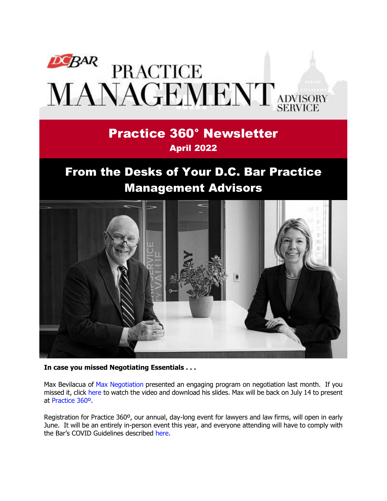

## Practice 360° Newsletter April 2022

# From the Desks of Your D.C. Bar Practice Management Advisors



**In case you missed Negotiating Essentials . . .**

Max Bevilacua of [Max Negotiation](https://www.maxnegotiating.com/) presented an engaging program on negotiation last month. If you missed it, click [here](https://www.dcbar.org/for-lawyers/practice-management-advisory-service/courses-and-trainings/small-firm-lunch-and-learn-series/past-lunch-and-learn-programs?utm_source=Real%20Magnet&utm_medium=INSERT_CHANNEL&utm_campaign=INSERT_LINK_ID) to watch the video and download his slides. Max will be back on July 14 to present at [Practice 360º.](https://www.dcbar.org/for-lawyers/practice-management-advisory-service/courses-and-trainings/practice-360%C2%B0?utm_source=Real%20Magnet&utm_medium=INSERT_CHANNEL&utm_campaign=INSERT_LINK_ID)

Registration for Practice 360º, our annual, day-long event for lawyers and law firms, will open in early June. It will be an entirely in-person event this year, and everyone attending will have to comply with the Bar's COVID Guidelines described [here.](https://www.dcbar.org/about/who-we-are/covid-guidelines-visitor-policy?utm_source=Real%20Magnet&utm_medium=INSERT_CHANNEL&utm_campaign=INSERT_LINK_ID)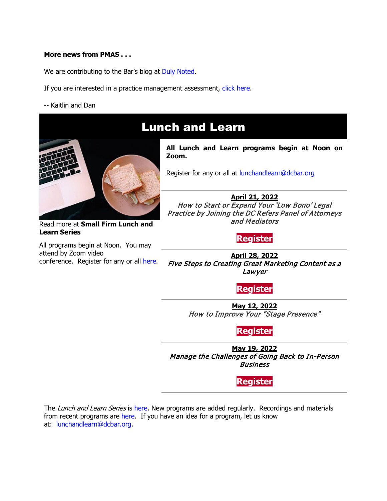#### **More news from PMAS . . .**

We are contributing to the Bar's blog at [Duly Noted.](https://www.dcbar.org/news-events/publications/d-c-bar-blog/meet-practice-management-advisor-kaitlin-forster?utm_source=Real%20Magnet&utm_medium=INSERT_CHANNEL&utm_campaign=INSERT_LINK_ID)

- If you are interested in a practice management assessment, [click here.](https://www.dcbar.org/for-lawyers/practice-management-advisory-service/practice-management-advisor-assessment?utm_source=Real%20Magnet&utm_medium=INSERT_CHANNEL&utm_campaign=INSERT_LINK_ID)
- -- Kaitlin and Dan



Read more at **[Small Firm Lunch](https://www.dcbar.org/for-lawyers/practice-management-advisory-service/courses-and-trainings/small-firm-lunch-and-learn-series?utm_source=Real%20Magnet&utm_medium=INSERT_CHANNEL&utm_campaign=INSERT_LINK_ID) and [Learn Series](https://www.dcbar.org/for-lawyers/practice-management-advisory-service/courses-and-trainings/small-firm-lunch-and-learn-series?utm_source=Real%20Magnet&utm_medium=INSERT_CHANNEL&utm_campaign=INSERT_LINK_ID)**

All programs begin at Noon. You may attend by Zoom video conference. Register for any or all [here.](https://www.dcbar.org/for-lawyers/practice-management-advisory-service/courses-and-trainings/small-firm-lunch-and-learn-series?utm_source=Real%20Magnet&utm_medium=INSERT_CHANNEL&utm_campaign=INSERT_LINK_ID)

## Lunch and Learn

**All Lunch and Learn programs begin at Noon on Zoom.**

Register for any or all at [lunchandlearn@dcbar.org](mailto:lunchandlearn@dcbar.org?subject=Lunch%20and%20Learn)

**April 21, 2022** How to Start or Expand Your 'Low Bono' Legal Practice by Joining the DC Refers Panel of Attorneys and Mediators

> $\overline{a}$ **[Register](https://dcbar.inreachce.com/Details/Information/6a73199d-bc0c-476b-8bb7-b72ec494069f)**

**April 28, 2022** Five Steps to Creating Great Marketing Content as a Lawyer

> $\overline{a}$ **[Register](https://dcbar.inreachce.com/Details/Information/c112d261-9aba-42ff-80ad-07e1d4875adb)**

**May 12, 2022** How to Improve Your "Stage Presence"

> $\overline{a}$ **[Register](https://dcbar.inreachce.com/Details/Information/716b8376-5cfc-4b0b-af92-f1e44aa7ee08)**

**May 19, 2022** Manage the Challenges of Going Back to In-Person Business

> $\overline{a}$ **[Register](https://dcbar.inreachce.com/Details/Information/134f62b9-beaf-4423-a3d6-2ba1b3e6b50d)**

The Lunch and Learn Series is [here.](https://www.dcbar.org/for-lawyers/practice-management-advisory-service/courses-and-trainings/small-firm-lunch-and-learn-series?utm_source=Real%20Magnet&utm_medium=INSERT_CHANNEL&utm_campaign=INSERT_LINK_ID) New programs are added regularly. Recordings and materials from recent programs are [here.](https://www.dcbar.org/for-lawyers/practice-management-advisory-service/courses-and-trainings/small-firm-lunch-and-learn-series/past-lunch-and-learn-programs?utm_source=Real%20Magnet&utm_medium=INSERT_CHANNEL&utm_campaign=INSERT_LINK_ID) If you have an idea for a program, let us know at: [lunchandlearn@dcbar.org.](mailto:lunchandlearn@dcbar.org)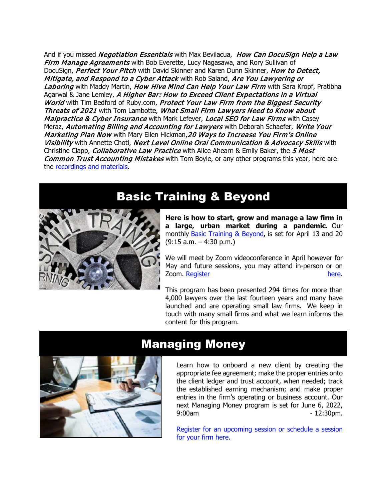And if you missed *Negotiation Essentials* with Max Bevilacua, *How Can DocuSign Help a Law* Firm Manage Agreements with Bob Everette, Lucy Nagasawa, and Rory Sullivan of DocuSign, Perfect Your Pitch with David Skinner and Karen Dunn Skinner, How to Detect, Mitigate, and Respond to a Cyber Attack with Rob Saland, Are You Lawyering or Laboring with Maddy Martin, How Hive Mind Can Help Your Law Firm with Sara Kropf, Pratibha Agarwal & Jane Lemley, A Higher Bar: How to Exceed Client Expectations in a Virtual World with Tim Bedford of Ruby.com, Protect Your Law Firm from the Biggest Security Threats of 2021 with Tom Lambotte, What Small Firm Lawyers Need to Know about Malpractice & Cyber Insurance with Mark Lefever, Local SEO for Law Firms with Casey Meraz, Automating Billing and Accounting for Lawyers with Deborah Schaefer, Write Your Marketing Plan Now with Mary Ellen Hickman, 20 Ways to Increase You Firm's Online Visibility with Annette Choti, Next Level Online Oral Communication & Advocacy Skills with Christine Clapp, *Collaborative Law Practice* with Alice Ahearn & Emily Baker, the 5 Most Common Trust Accounting Mistakes with Tom Boyle, or any other programs this year, here are the [recordings and materials.](https://www.dcbar.org/for-lawyers/practice-management-advisory-service/courses-and-trainings/small-firm-lunch-and-learn-series/past-lunch-and-learn-programs?utm_source=Real%20Magnet&utm_medium=INSERT_CHANNEL&utm_campaign=INSERT_LINK_ID)

## Basic Training & Beyond



**Here is how to start, grow and manage a law firm in a large, urban market during a pandemic.** Our monthly [Basic Training & Beyond](http://www.mmsend31.com/link.cfm?r=zvkjaWqFFUTRz65Avl-Ftw%7E%7E&pe=c3ph7NU-Re1l6uj-xoZC_Nqnf2HGTrpIRRfl_qZmlgZN_I06rShTZ-AlGs0Wp7CGgKUozsdU2izsioLhmXaRbg%7E%7E&t=prXb-jowJMuBRf73r4YKRA%7E%7E)**,** is set for April 13 and 20 (9:15 a.m. – 4:30 p.m.)

We will meet by Zoom videoconference in April however for May and future sessions, you may attend in-person or on Zoom. [Register here.](http://www.mmsend31.com/link.cfm?r=zvkjaWqFFUTRz65Avl-Ftw%7E%7E&pe=BxjSlIjTK_3i3Os02s37pODjnSEaSaIBfLm0UarKy-K07-G29KY0F7SoVNdKQgSYIVrXVvuyFBcMiPY5X35JOA%7E%7E&t=prXb-jowJMuBRf73r4YKRA%7E%7E)

This program has been presented 294 times for more than 4,000 lawyers over the last fourteen years and many have launched and are operating small law firms. We keep in touch with many small firms and what we learn informs the content for this program.



### Managing Money

Learn how to onboard a new client by creating the appropriate fee agreement; make the proper entries onto the client ledger and trust account, when needed; track the established earning mechanism; and make proper entries in the firm's operating or business account. Our next Managing Money program is set for June 6, 2022, 9:00am - 12:30pm.

[Register for an upcoming session or schedule a session](https://www.dcbar.org/for-lawyers/practice-management-advisory-service/courses-and-trainings/managing-money?utm_source=Real%20Magnet&utm_medium=INSERT_CHANNEL&utm_campaign=INSERT_LINK_ID)  [for your firm here.](https://www.dcbar.org/for-lawyers/practice-management-advisory-service/courses-and-trainings/managing-money?utm_source=Real%20Magnet&utm_medium=INSERT_CHANNEL&utm_campaign=INSERT_LINK_ID)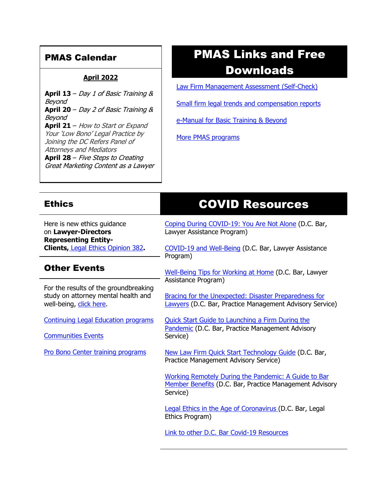### PMAS Calendar

### **April 2022**

**April 13** – Day 1 of Basic Training & Beyond **April 20** – Day 2 of Basic Training & Beyond **April 21** – How to Start or Expand Your 'Low Bono' Legal Practice by Joining the DC Refers Panel of Attorneys and Mediators **April 28** – Five Steps to Creating Great Marketing Content as a Lawyer

# PMAS Links and Free Downloads

[Law Firm Management Assessment \(Self-Check\)](https://www.dcbar.org/for-lawyers/practice-management-advisory-service/practice-tips-and-compliance/self-check?utm_source=Real%20Magnet&utm_medium=INSERT_CHANNEL&utm_campaign=INSERT_LINK_ID)

[Small firm legal trends and compensation reports](https://www.dcbar.org/for-lawyers/practice-management-advisory-service/courses-and-trainings/basic-training-beyond/basic-training-beyond-supplements?utm_source=Real%20Magnet&utm_medium=INSERT_CHANNEL&utm_campaign=INSERT_LINK_ID)

[e-Manual for Basic Training & Beyond](https://acrobat.adobe.com/link/track?uri=urn:aaid:scds:US:d90534bd-5584-3f39-b3fa-8ca16efb6f0d)

[More PMAS programs](https://www.dcbar.org/for-lawyers/practice-management-advisory-service/courses-and-trainings?utm_source=Real%20Magnet&utm_medium=INSERT_CHANNEL&utm_campaign=INSERT_LINK_ID)

| <b>Ethics</b>                                                                                           | <b>COVID Resources</b>                                                                                                             |
|---------------------------------------------------------------------------------------------------------|------------------------------------------------------------------------------------------------------------------------------------|
| Here is new ethics quidance<br>on Lawyer-Directors                                                      | Coping During COVID-19: You Are Not Alone (D.C. Bar,<br>Lawyer Assistance Program)                                                 |
| <b>Representing Entity-</b><br><b>Clients, Legal Ethics Opinion 382.</b>                                | COVID-19 and Well-Being (D.C. Bar, Lawyer Assistance<br>Program)                                                                   |
| <b>Other Events</b>                                                                                     | Well-Being Tips for Working at Home (D.C. Bar, Lawyer<br>Assistance Program)                                                       |
| For the results of the groundbreaking<br>study on attorney mental health and<br>well-being, click here. | Bracing for the Unexpected: Disaster Preparedness for<br>Lawyers (D.C. Bar, Practice Management Advisory Service)                  |
| <b>Continuing Legal Education programs</b><br><b>Communities Events</b>                                 | <b>Quick Start Guide to Launching a Firm During the</b><br>Pandemic (D.C. Bar, Practice Management Advisory<br>Service)            |
| Pro Bono Center training programs                                                                       | New Law Firm Quick Start Technology Guide (D.C. Bar,<br>Practice Management Advisory Service)                                      |
|                                                                                                         | <b>Working Remotely During the Pandemic: A Guide to Bar</b><br>Member Benefits (D.C. Bar, Practice Management Advisory<br>Service) |
|                                                                                                         | Legal Ethics in the Age of Coronavirus (D.C. Bar, Legal<br>Ethics Program)                                                         |
|                                                                                                         | Link to other D.C. Bar Covid-19 Resources                                                                                          |